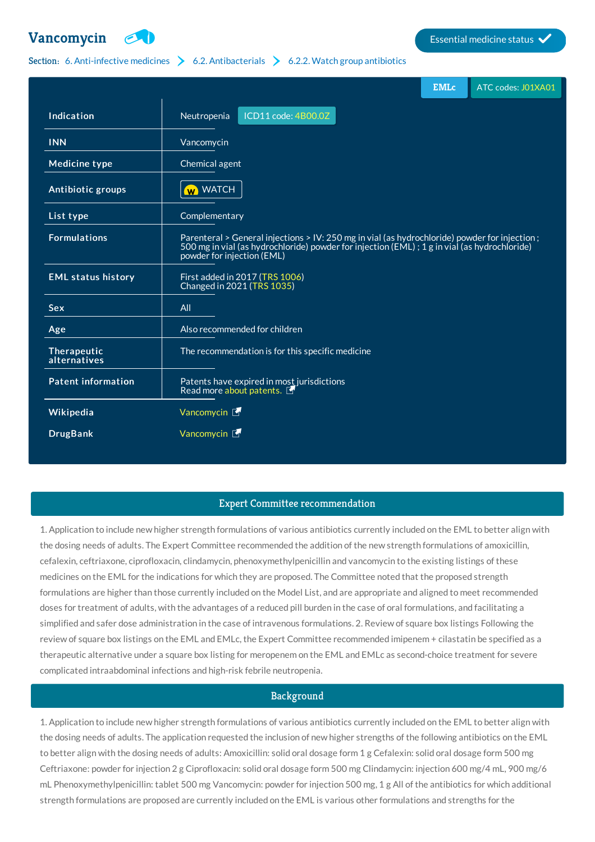

# Section: 6. [Anti-infective](http://list.essentialmeds.org/?section=332) medicines  $\geq 6.2$ . [Antibacterials](http://list.essentialmeds.org/?section=337)  $\geq 6.2.2$ . Watch group [antibiotics](http://list.essentialmeds.org/?section=339)

|                             |                                                                                                                                                                                                                             | <b>EMLc</b> | ATC codes: J01XA01 |
|-----------------------------|-----------------------------------------------------------------------------------------------------------------------------------------------------------------------------------------------------------------------------|-------------|--------------------|
| Indication                  | ICD11 code: 4B00.0Z<br>Neutropenia                                                                                                                                                                                          |             |                    |
| <b>INN</b>                  | Vancomycin                                                                                                                                                                                                                  |             |                    |
| <b>Medicine type</b>        | Chemical agent                                                                                                                                                                                                              |             |                    |
| Antibiotic groups           | W WATCH                                                                                                                                                                                                                     |             |                    |
| List type                   | Complementary                                                                                                                                                                                                               |             |                    |
| <b>Formulations</b>         | Parenteral > General injections > IV: 250 mg in vial (as hydrochloride) powder for injection;<br>500 mg in vial (as hydrochloride) powder for injection (EML); 1 g in vial (as hydrochloride)<br>powder for injection (EML) |             |                    |
| <b>EML status history</b>   | First added in 2017 (TRS 1006)<br>Changed in 2021 (TRS 1035)                                                                                                                                                                |             |                    |
| <b>Sex</b>                  | All                                                                                                                                                                                                                         |             |                    |
| Age                         | Also recommended for children                                                                                                                                                                                               |             |                    |
| Therapeutic<br>alternatives | The recommendation is for this specific medicine                                                                                                                                                                            |             |                    |
| <b>Patent information</b>   | Patents have expired in most jurisdictions<br>Read more about patents.                                                                                                                                                      |             |                    |
| Wikipedia                   | Vancomycin L                                                                                                                                                                                                                |             |                    |
| <b>DrugBank</b>             | Vancomycin $\mathbb{F}$                                                                                                                                                                                                     |             |                    |

# Expert Committee recommendation

1. Application to include new higher strength formulations of various antibiotics currently included on the EML to better align with the dosing needs of adults. The Expert Committee recommended the addition of the new strength formulations of amoxicillin, cefalexin, ceftriaxone, ciprofloxacin, clindamycin, phenoxymethylpenicillin and vancomycin to the existing listings of these medicines on the EML for the indications for which they are proposed. The Committee noted that the proposed strength formulations are higher than those currently included on the Model List, and are appropriate and aligned to meet recommended doses for treatment of adults, with the advantages of a reduced pill burden in the case of oral formulations, and facilitating a simplified and safer dose administration in the case of intravenous formulations. 2. Review of square box listings Following the review of square box listings on the EML and EMLc, the Expert Committee recommended imipenem + cilastatin be specified as a therapeutic alternative under a square box listing for meropenem on the EML and EMLc as second-choice treatment for severe complicated intraabdominal infections and high-risk febrile neutropenia.

# Background

1. Application to include new higher strength formulations of various antibiotics currently included on the EML to better align with the dosing needs of adults. The application requested the inclusion of new higher strengths of the following antibiotics on the EML to better align with the dosing needs of adults: Amoxicillin: solid oral dosage form 1 g Cefalexin: solid oral dosage form 500 mg Ceftriaxone: powder for injection 2 g Ciprofloxacin: solid oral dosage form 500 mg Clindamycin: injection 600 mg/4 mL, 900 mg/6 mL Phenoxymethylpenicillin: tablet 500 mg Vancomycin: powder for injection 500 mg, 1 g All of the antibiotics for which additional strength formulations are proposed are currently included on the EML is various other formulations and strengths for the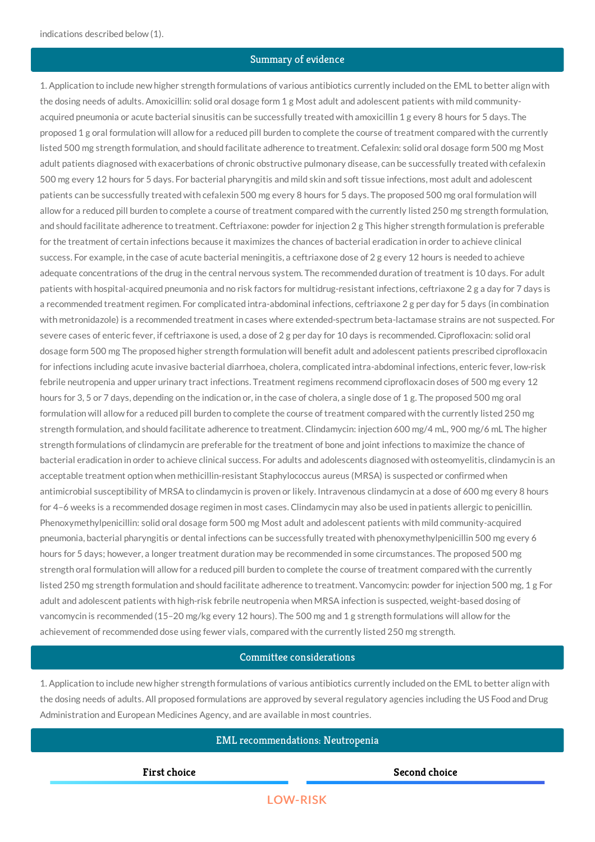# Summary of evidence

1. Application to include new higher strength formulations of various antibiotics currently included on the EML to better align with the dosing needs of adults. Amoxicillin: solid oral dosage form 1 g Most adult and adolescent patients with mild communityacquired pneumonia or acute bacterial sinusitis can be successfully treated with amoxicillin 1 g every 8 hours for 5 days. The proposed 1 g oral formulation will allow for a reduced pill burden to complete the course of treatment compared with the currently listed 500 mg strength formulation, and should facilitate adherence to treatment. Cefalexin: solid oral dosage form 500 mg Most adult patients diagnosed with exacerbations of chronic obstructive pulmonary disease, can be successfully treated with cefalexin 500 mg every 12 hours for 5 days. For bacterial pharyngitis and mild skin and soft tissue infections, most adult and adolescent patients can be successfully treated with cefalexin 500 mg every 8 hours for 5 days. The proposed 500 mg oral formulation will allow for a reduced pill burden to complete a course of treatment compared with the currently listed 250 mg strength formulation, and should facilitate adherence to treatment. Ceftriaxone: powder for injection 2 g This higher strength formulation is preferable for the treatment of certain infections because it maximizes the chances of bacterial eradication in order to achieve clinical success. For example, in the case of acute bacterial meningitis, a ceftriaxone dose of 2 g every 12 hours is needed to achieve adequate concentrations of the drug in the central nervous system. The recommended duration of treatment is 10 days. For adult patients with hospital-acquired pneumonia and no risk factors for multidrug-resistant infections, ceftriaxone 2 g a day for 7 days is a recommended treatment regimen. For complicated intra-abdominal infections, ceftriaxone 2 g per day for 5 days (in combination with metronidazole) is a recommended treatment in cases where extended-spectrum beta-lactamase strains are not suspected. For severe cases of enteric fever, if ceftriaxone is used, a dose of 2 g per day for 10 days is recommended. Ciprofloxacin: solid oral dosage form 500 mg The proposed higher strength formulation will benefit adult and adolescent patients prescribed ciprofloxacin for infections including acute invasive bacterial diarrhoea, cholera, complicated intra-abdominal infections, enteric fever, low-risk febrile neutropenia and upper urinary tract infections. Treatment regimens recommend ciprofloxacin doses of 500 mg every 12 hours for 3, 5 or 7 days, depending on the indication or, in the case of cholera, a single dose of 1 g. The proposed 500 mg oral formulation will allow for a reduced pill burden to complete the course of treatment compared with the currently listed 250 mg strength formulation, and should facilitate adherence to treatment. Clindamycin: injection 600 mg/4 mL, 900 mg/6 mL The higher strength formulations of clindamycin are preferable for the treatment of bone and joint infections to maximize the chance of bacterial eradication in order to achieve clinical success. For adults and adolescents diagnosed with osteomyelitis, clindamycin is an acceptable treatment option when methicillin-resistant Staphylococcus aureus (MRSA) is suspected or confirmed when antimicrobial susceptibility of MRSA to clindamycin is proven or likely. Intravenous clindamycin at a dose of 600 mg every 8 hours for 4–6 weeks is a recommended dosage regimen in most cases. Clindamycin may also be used in patients allergic to penicillin. Phenoxymethylpenicillin: solid oral dosage form 500 mg Most adult and adolescent patients with mild community-acquired pneumonia, bacterial pharyngitis or dental infections can be successfully treated with phenoxymethylpenicillin 500 mg every 6 hours for 5 days; however, a longer treatment duration may be recommended in some circumstances. The proposed 500 mg strength oral formulation will allow for a reduced pill burden to complete the course of treatment compared with the currently listed 250 mg strength formulation and should facilitate adherence to treatment. Vancomycin: powder for injection 500 mg, 1 g For adult and adolescent patients with high-risk febrile neutropenia when MRSA infection is suspected, weight-based dosing of vancomycin is recommended (15–20 mg/kg every 12 hours). The 500 mg and 1 g strength formulations will allow for the achievement of recommended dose using fewer vials, compared with the currently listed 250 mg strength.

### Committee considerations

1. Application to include new higher strength formulations of various antibiotics currently included on the EML to better align with the dosing needs of adults. All proposed formulations are approved by several regulatory agencies including the US Food and Drug Administration and European Medicines Agency, and are available in most countries.

# EML recommendations: Neutropenia

**First choice Second choice**